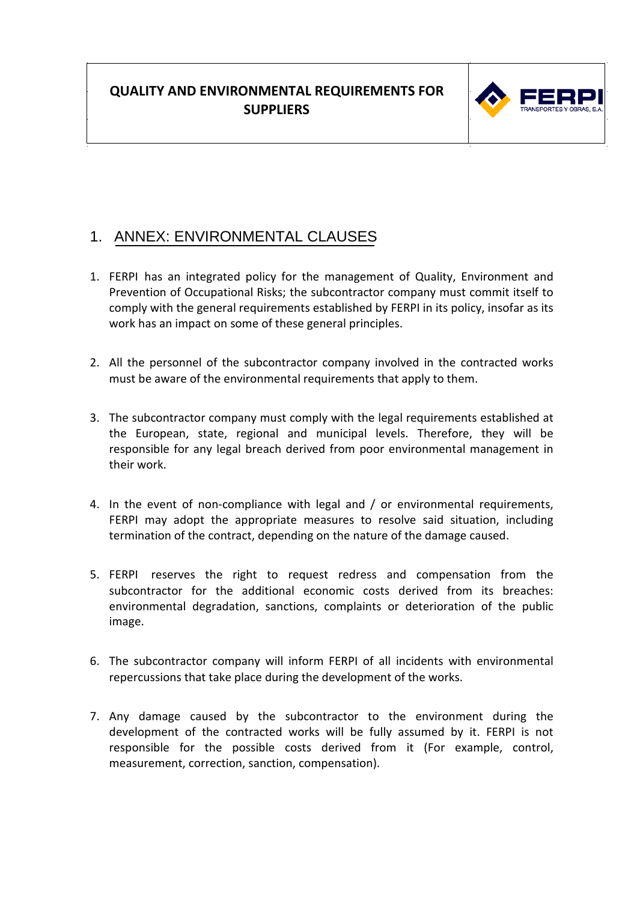

# 1. ANNEX: ENVIRONMENTAL CLAUSES

- 1. FERPI has an integrated policy for the management of Quality, Environment and Prevention of Occupational Risks; the subcontractor company must commit itself to comply with the general requirements established by FERPI in its policy, insofar as its work has an impact on some of these general principles.
- 2. All the personnel of the subcontractor company involved in the contracted works must be aware of the environmental requirements that apply to them.
- 3. The subcontractor company must comply with the legal requirements established at the European, state, regional and municipal levels. Therefore, they will be responsible for any legal breach derived from poor environmental management in their work.
- 4. In the event of non-compliance with legal and / or environmental requirements, FERPI may adopt the appropriate measures to resolve said situation, including termination of the contract, depending on the nature of the damage caused.
- 5. FERPI reserves the right to request redress and compensation from the subcontractor for the additional economic costs derived from its breaches: environmental degradation, sanctions, complaints or deterioration of the public image.
- 6. The subcontractor company will inform FERPI of all incidents with environmental repercussions that take place during the development of the works.
- 7. Any damage caused by the subcontractor to the environment during the development of the contracted works will be fully assumed by it. FERPI is not responsible for the possible costs derived from it (For example, control, measurement, correction, sanction, compensation).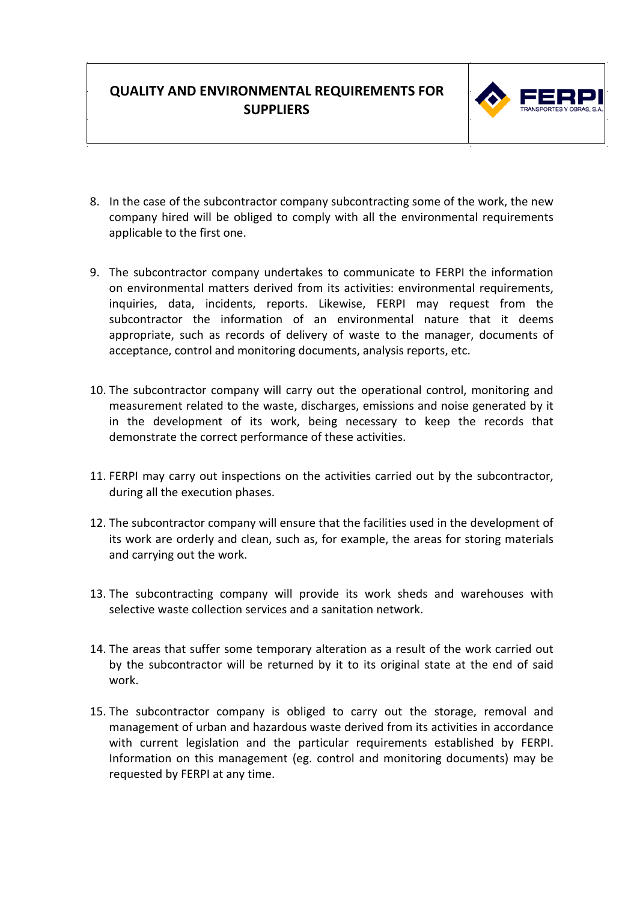

- 8. In the case of the subcontractor company subcontracting some of the work, the new company hired will be obliged to comply with all the environmental requirements applicable to the first one.
- 9. The subcontractor company undertakes to communicate to FERPI the information on environmental matters derived from its activities: environmental requirements, inquiries, data, incidents, reports. Likewise, FERPI may request from the subcontractor the information of an environmental nature that it deems appropriate, such as records of delivery of waste to the manager, documents of acceptance, control and monitoring documents, analysis reports, etc.
- 10. The subcontractor company will carry out the operational control, monitoring and measurement related to the waste, discharges, emissions and noise generated by it in the development of its work, being necessary to keep the records that demonstrate the correct performance of these activities.
- 11. FERPI may carry out inspections on the activities carried out by the subcontractor, during all the execution phases.
- 12. The subcontractor company will ensure that the facilities used in the development of its work are orderly and clean, such as, for example, the areas for storing materials and carrying out the work.
- 13. The subcontracting company will provide its work sheds and warehouses with selective waste collection services and a sanitation network.
- 14. The areas that suffer some temporary alteration as a result of the work carried out by the subcontractor will be returned by it to its original state at the end of said work.
- 15. The subcontractor company is obliged to carry out the storage, removal and management of urban and hazardous waste derived from its activities in accordance with current legislation and the particular requirements established by FERPI. Information on this management (eg. control and monitoring documents) may be requested by FERPI at any time.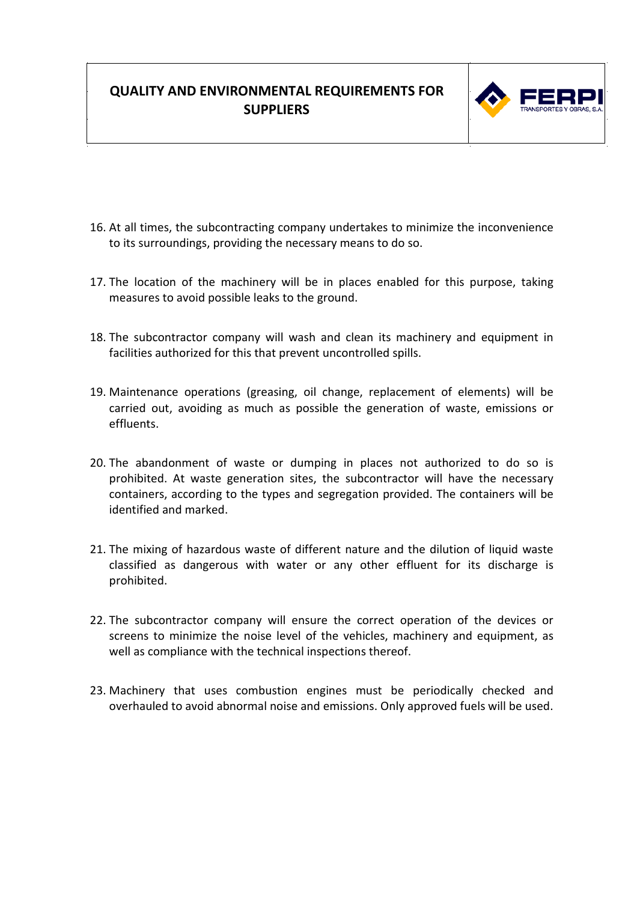

- 16. At all times, the subcontracting company undertakes to minimize the inconvenience to its surroundings, providing the necessary means to do so.
- 17. The location of the machinery will be in places enabled for this purpose, taking measures to avoid possible leaks to the ground.
- 18. The subcontractor company will wash and clean its machinery and equipment in facilities authorized for this that prevent uncontrolled spills.
- 19. Maintenance operations (greasing, oil change, replacement of elements) will be carried out, avoiding as much as possible the generation of waste, emissions or effluents.
- 20. The abandonment of waste or dumping in places not authorized to do so is prohibited. At waste generation sites, the subcontractor will have the necessary containers, according to the types and segregation provided. The containers will be identified and marked.
- 21. The mixing of hazardous waste of different nature and the dilution of liquid waste classified as dangerous with water or any other effluent for its discharge is prohibited.
- 22. The subcontractor company will ensure the correct operation of the devices or screens to minimize the noise level of the vehicles, machinery and equipment, as well as compliance with the technical inspections thereof.
- 23. Machinery that uses combustion engines must be periodically checked and overhauled to avoid abnormal noise and emissions. Only approved fuels will be used.